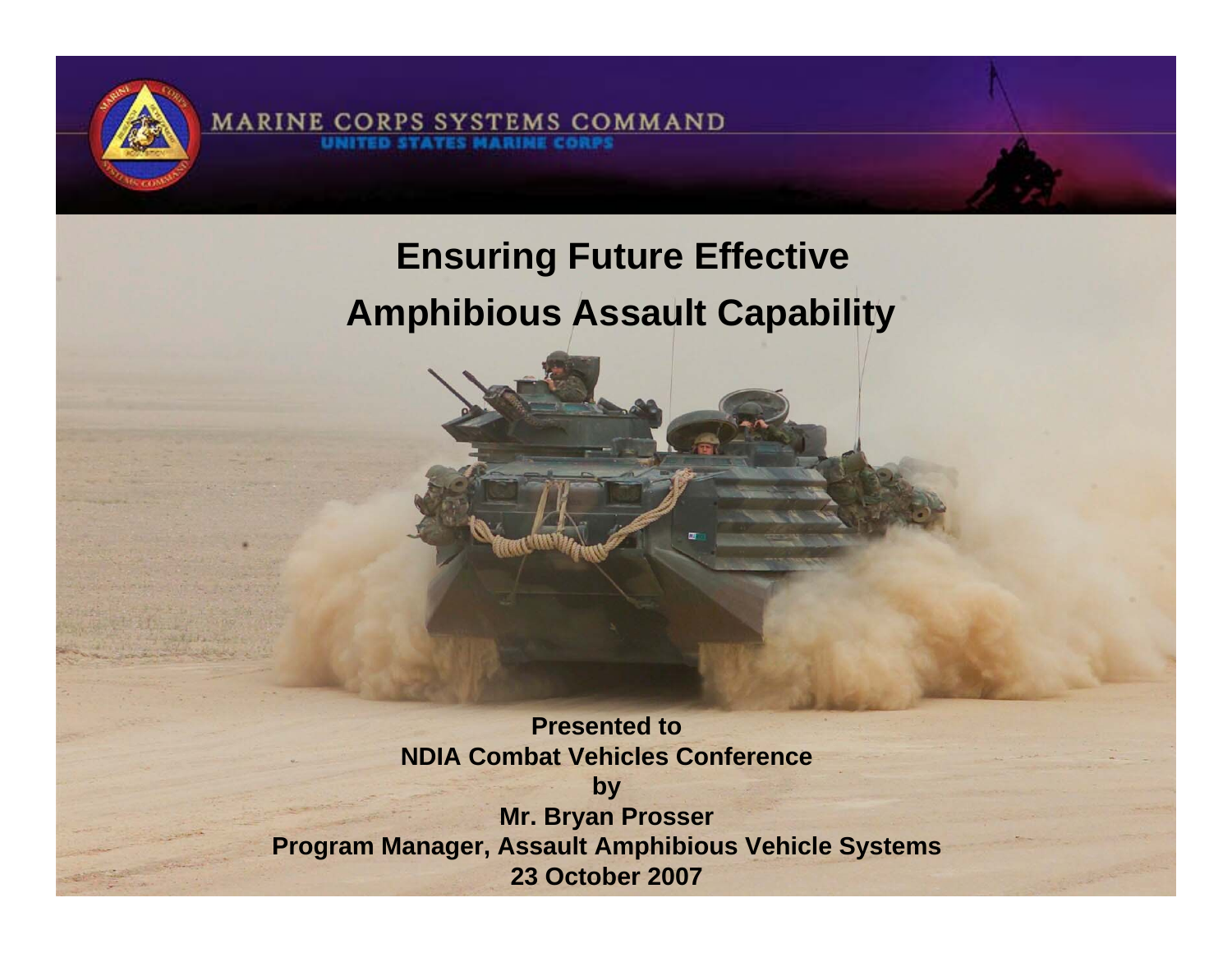

**Ensuring Future Effective Amphibious Assault Capability**

**MARINE CORPS SYSTEMS COMMAND** 

**Presented to NDIA Combat Vehicles Conference by Mr. Bryan Prosser Program Manager, Assault Amphibious Vehicle Systems 23 October 2007**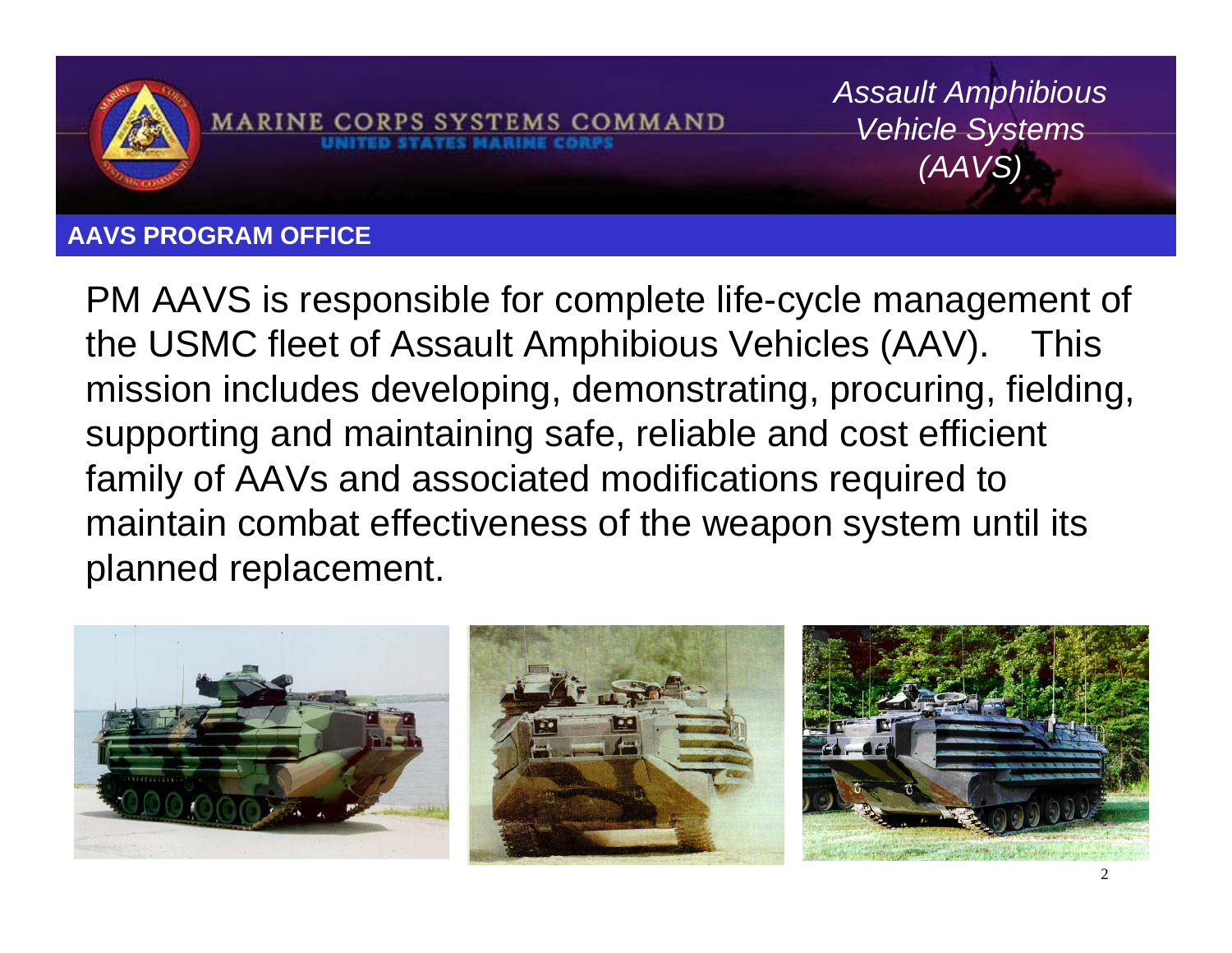

**AAVS PROGRAM OFFICE**

PM AAVS is responsible for complete life-cycle management of the USMC fleet of Assault Amphibious Vehicles (AAV). This mission includes developing, demonstrating, procuring, fielding, supporting and maintaining safe, reliable and cost efficient family of AAVs and associated modifications required to maintain combat effectiveness of the weapon system until its planned replacement.

**MARINE CORPS SYSTEMS COMMAND** 



*Assault Amphibious* 

*Vehicle Systems* 

*(AAVS)*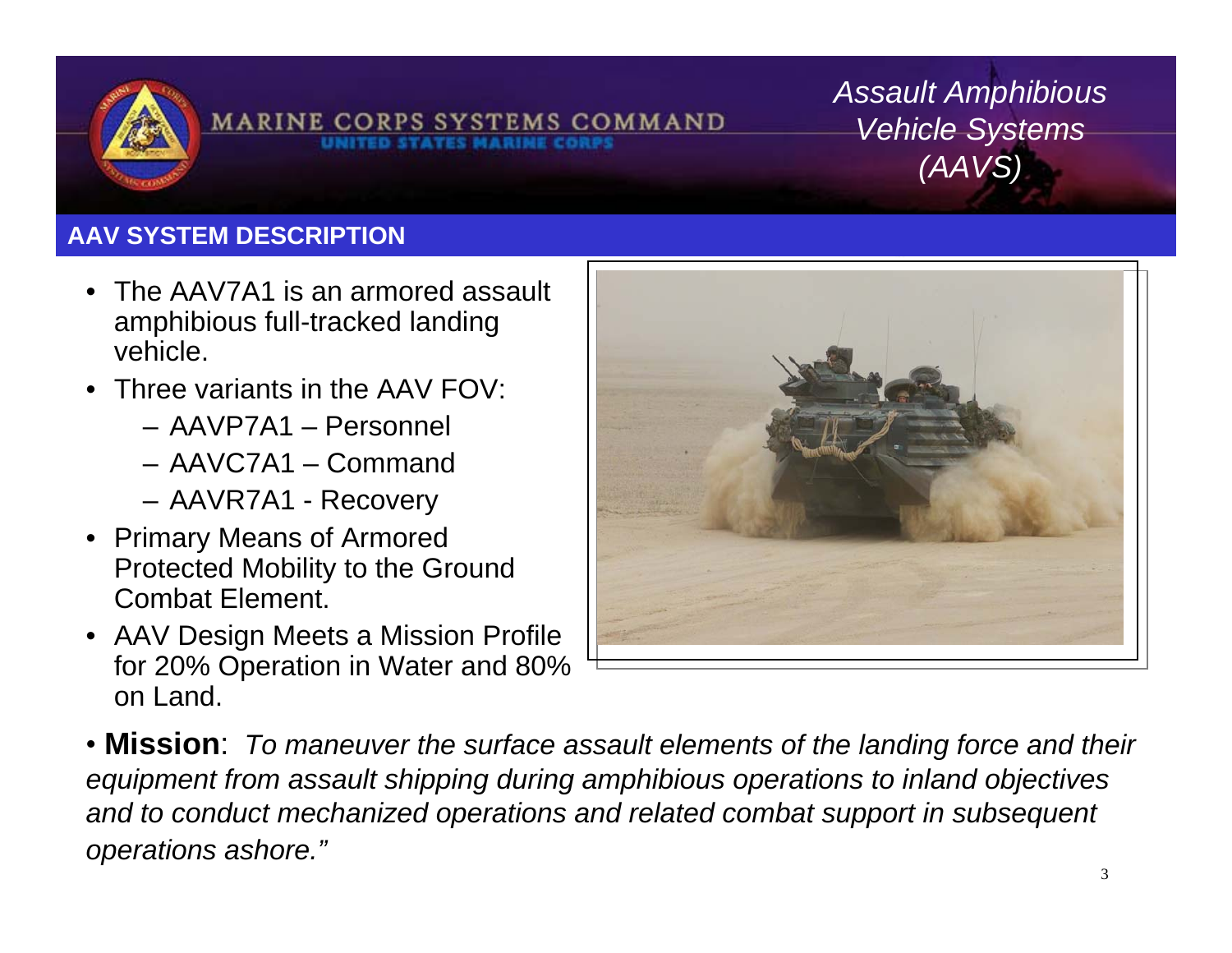

MARINE CORPS SYSTEMS COMMAND

*Assault Amphibious Vehicle Systems (AAVS)*

#### **AAV SYSTEM DESCRIPTION**

- The AAV7A1 is an armored assault amphibious full-tracked landing vehicle.
- Three variants in the AAV FOV:
	- AAVP7A1 Personnel
	- AAVC7A1 Command
	- AAVR7A1 Recovery
- Primary Means of Armored Protected Mobility to the Ground Combat Element.
- AAV Design Meets a Mission Profile for 20% Operation in Water and 80% on Land.



• **Mission**: *To maneuver the surface assault elements of the landing force and their equipment from assault shipping during amphibious operations to inland objectives*  and to conduct mechanized operations and related combat support in subsequent *operations ashore."*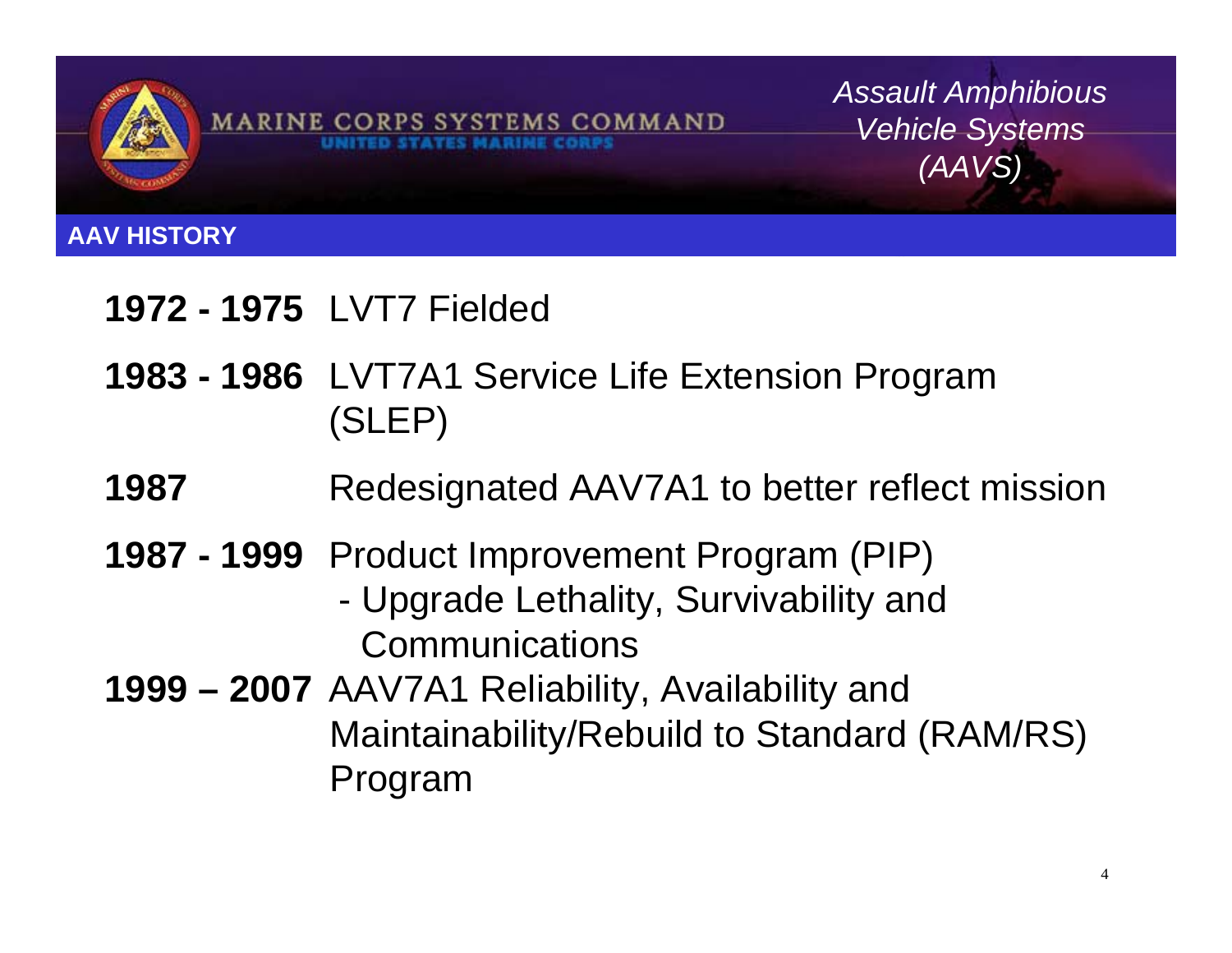

*Assault Amphibious Vehicle Systems (AAVS)*

#### **AAV HISTORY**

# **1972 - 1975** LVT7 Fielded

- **1983 1986** LVT7A1 Service Life Extension Program (SLEP)
- **1987** Redesignated AAV7A1 to better reflect mission
- **1987 1999** Product Improvement Program (PIP)
	- Upgrade Lethality, Survivability and **Communications**
- **1999 2007** AAV7A1 Reliability, Availability and Maintainability/Rebuild to Standard (RAM/RS) Program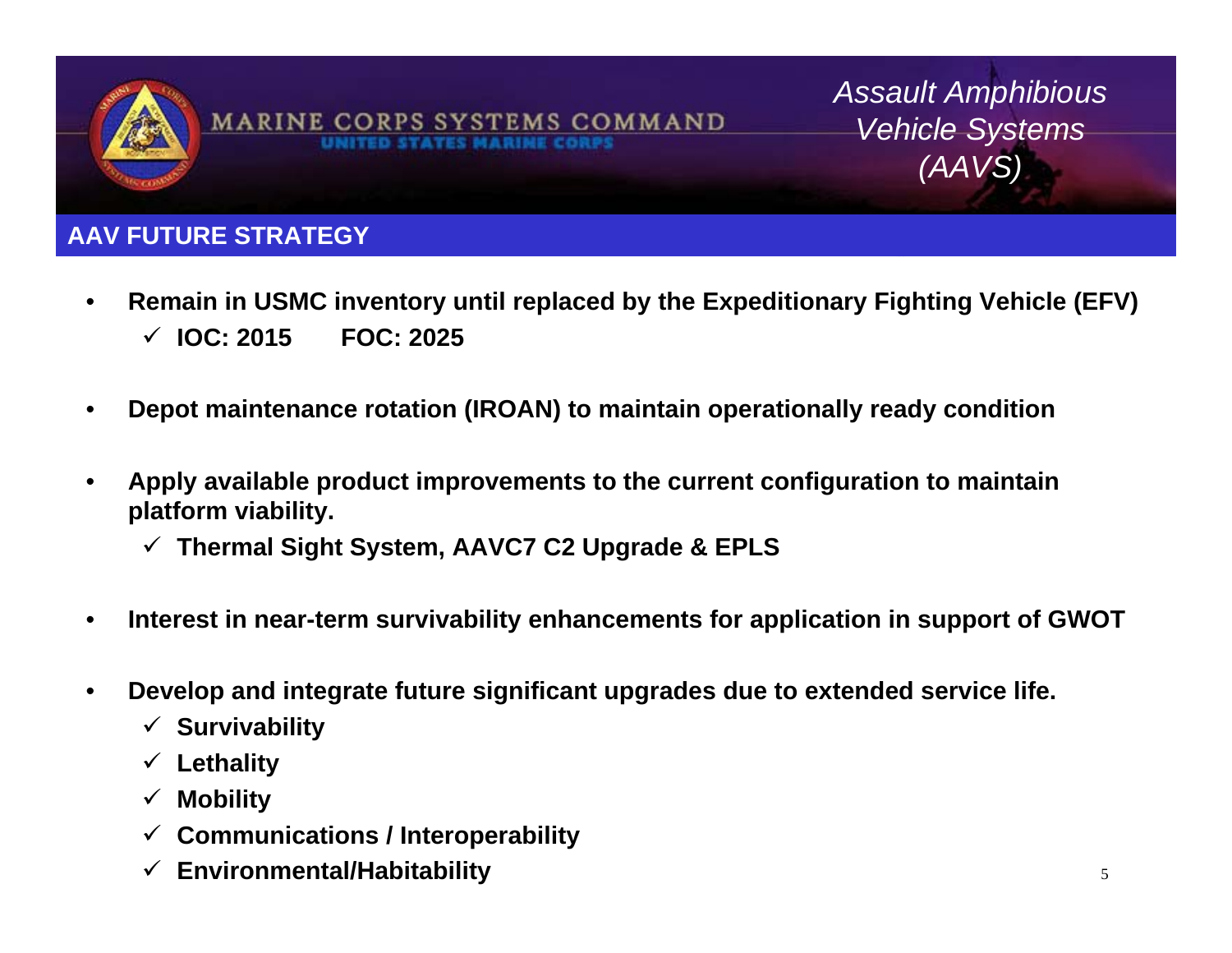

*Assault Amphibious Vehicle Systems (AAVS)*

#### **AAV FUTURE STRATEGY**

- **Remain in USMC inventory until replaced by the Expeditionary Fighting Vehicle (EFV)** 9 **IOC: 2015 FOC: 2025**
- **Depot maintenance rotation (IROAN) to maintain operationally ready condition**
- **Apply available product improvements to the current configuration to maintain platform viability.**
	- 9 **Thermal Sight System, AAVC7 C2 Upgrade & EPLS**
- **Interest in near-term survivability enhancements for application in support of GWOT**
- **Develop and integrate future significant upgrades due to extended service life.**
	- 9 **Survivability**
	- 9 **Lethality**
	- $\checkmark$ **Mobility**
	- 9 **Communications / Interoperability**
	- 9 **Environmental/Habitability**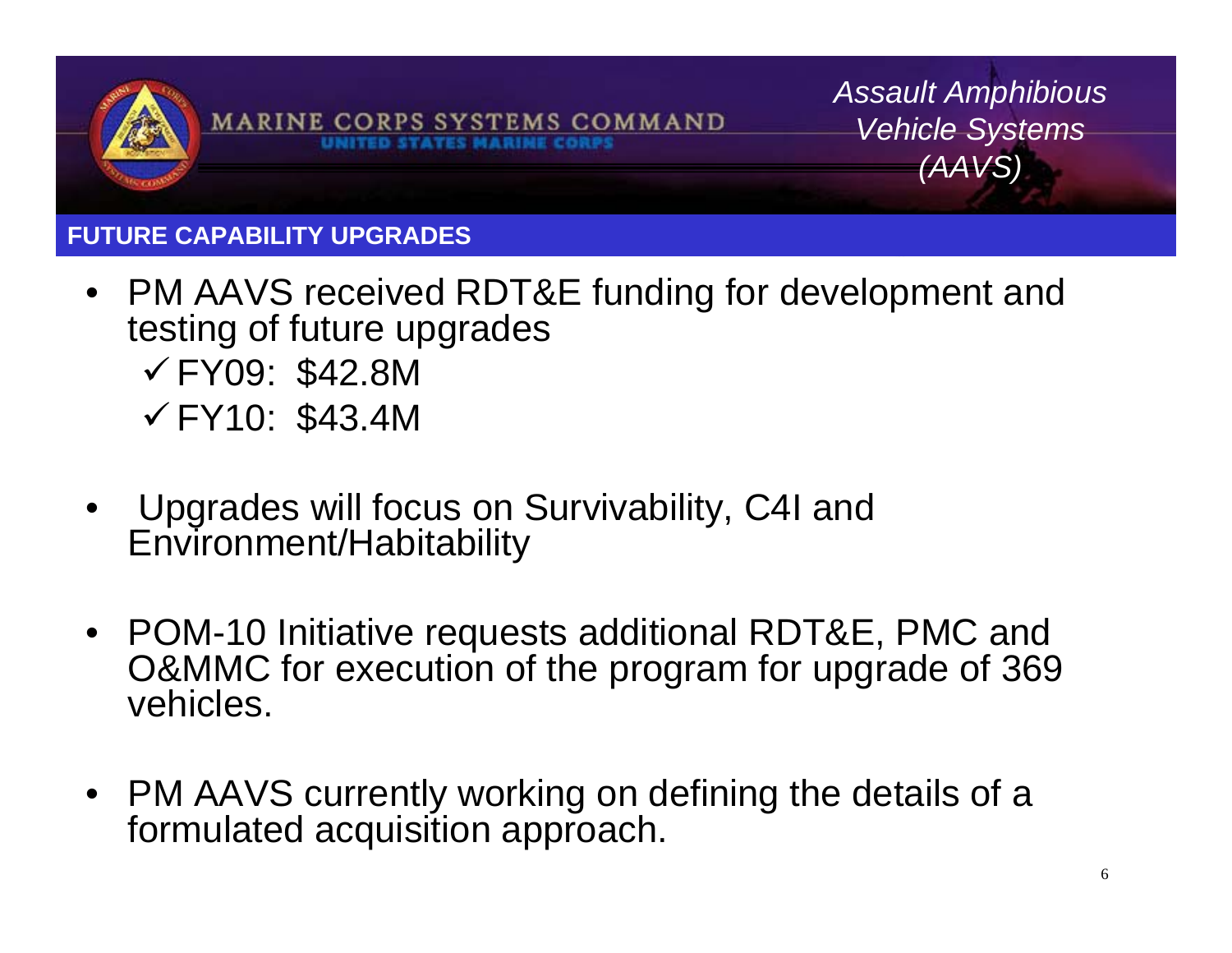

*Assault Amphibious Vehicle Systems (AAVS)*

#### **FUTURE CAPABILITY UPGRADES**

- PM AAVS received RDT&E funding for development and testing of future upgrades  $\checkmark$  FY09: \$42.8M  $\checkmark$  FY10: \$43.4M
- Upgrades will focus on Survivability, C4I and Environment/Habitability
- POM-10 Initiative requests additional RDT&E, PMC and O&MMC for execution of the program for upgrade of 369 vehicles.
- PM AAVS currently working on defining the details of a formulated acquisition approach.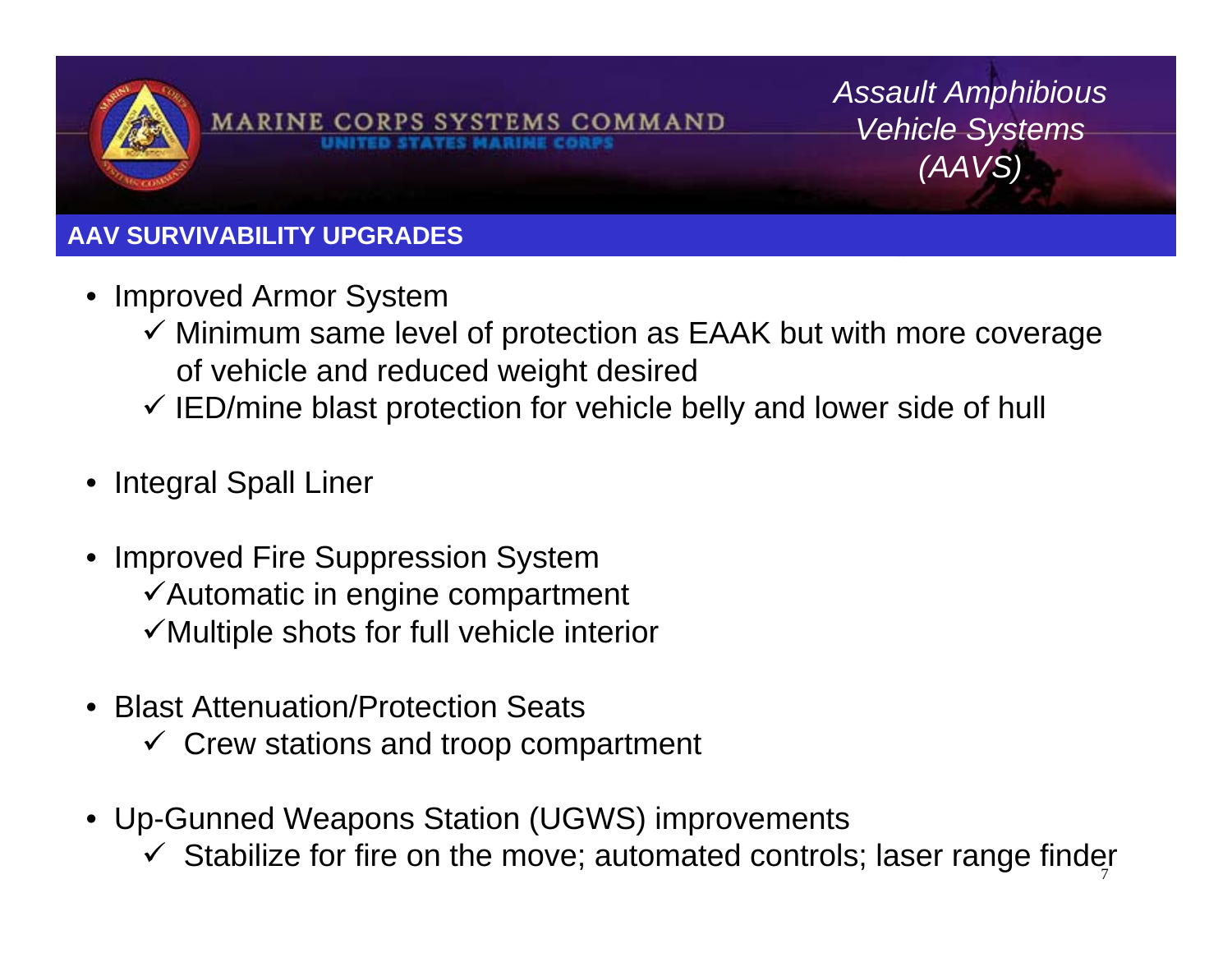

**MARINE CORPS SYST EMS COMMAND** 

*Assault Amphibious Vehicle Systems (AAVS)*

## **AAV SURVIVABILITY UPGRADES**

- Improved Armor System
	- $\checkmark$  Minimum same level of protection as EAAK but with more coverage of vehicle and reduced weight desired
	- $\checkmark$  IED/mine blast protection for vehicle belly and lower side of hull
- •Integral Spall Liner
- • Improved Fire Suppression System  $\checkmark$  Automatic in engine compartment  $\checkmark$  Multiple shots for full vehicle interior
- • Blast Attenuation/Protection Seats
	- $\checkmark$  Crew stations and troop compartment
- • Up-Gunned Weapons Station (UGWS) improvements
	- 7 $\checkmark$  Stabilize for fire on the move; automated controls; laser range finder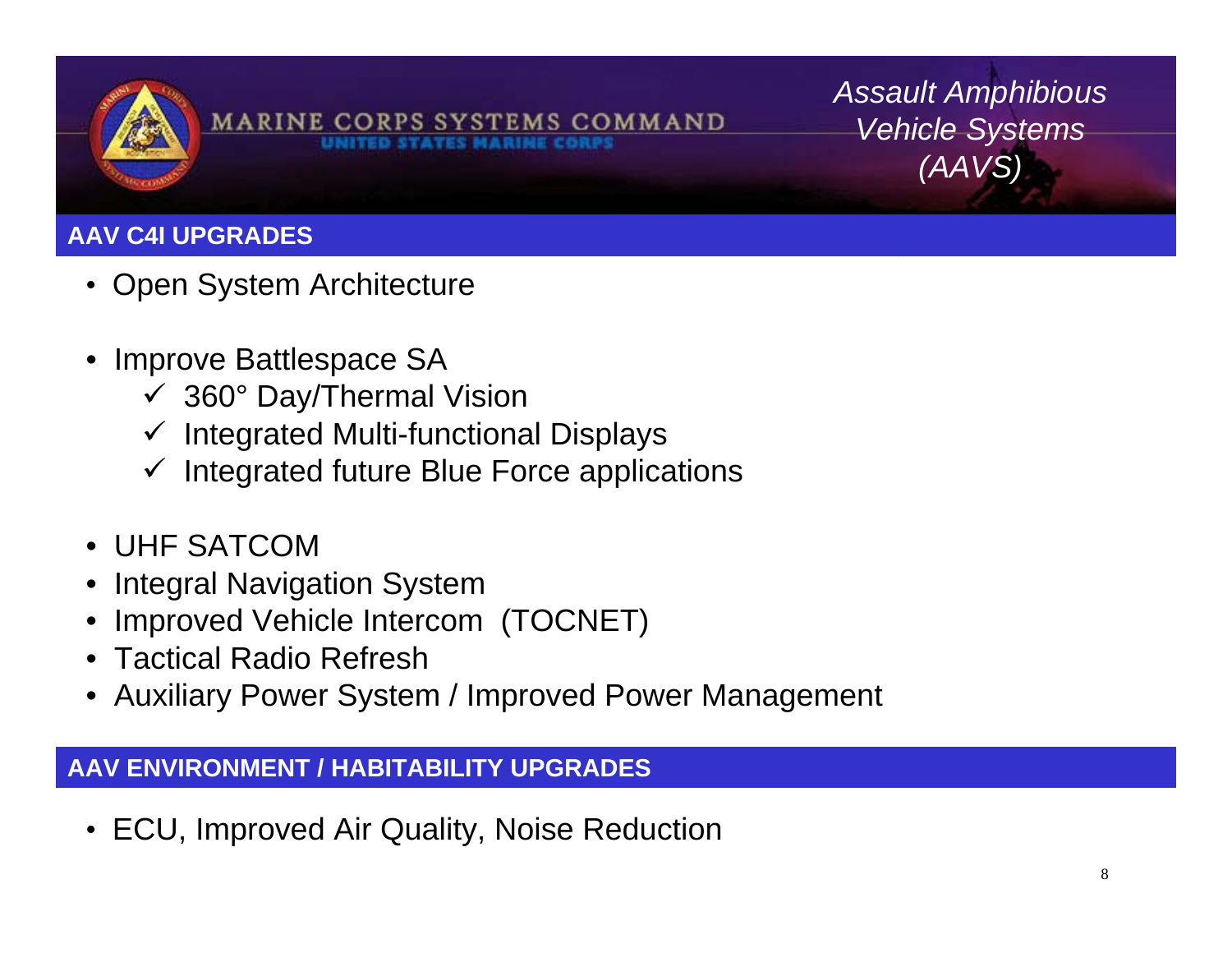

MARINE CORPS SYSTEMS COMMAND

*Assault Amphibious Vehicle Systems (AAVS)*

## **AAV C4I UPGRADES**

- Open System Architecture
- • Improve Battlespace SA
	- $\checkmark$  360° Day/Thermal Vision
	- $\checkmark$  Integrated Multi-functional Displays
	- $\checkmark$ Integrated future Blue Force applications
- UHF SATCOM
- •Integral Navigation System
- •Improved Vehicle Intercom (TOCNET)
- Tactical Radio Refresh
- Auxiliary Power System / Improved Power Management

#### **AAV ENVIRONMENT / HABITABILITY UPGRADES**

•ECU, Improved Air Quality, Noise Reduction